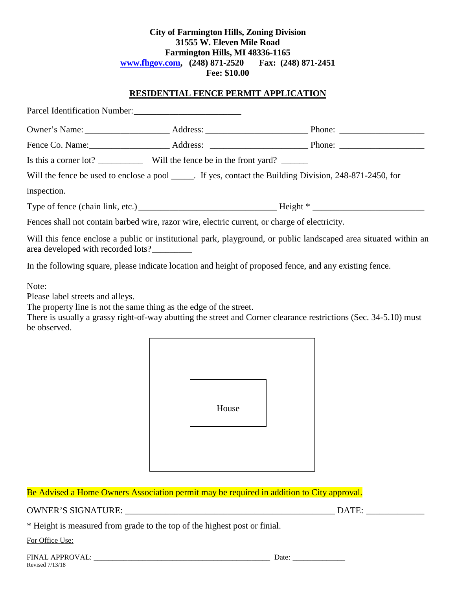#### **City of Farmington Hills, Zoning Division 31555 W. Eleven Mile Road Farmington Hills, MI 48336-1165 [www.fhgov.com,](http://www.fhgov.com/) (248) 871-2520 Fax: (248) 871-2451 Fee: \$10.00**

#### **RESIDENTIAL FENCE PERMIT APPLICATION**

| Parcel Identification Number:                                                                 |                                                                                                           |
|-----------------------------------------------------------------------------------------------|-----------------------------------------------------------------------------------------------------------|
|                                                                                               |                                                                                                           |
|                                                                                               |                                                                                                           |
| Is this a corner lot? _____________ Will the fence be in the front yard? ______               |                                                                                                           |
|                                                                                               | Will the fence be used to enclose a pool ______. If yes, contact the Building Division, 248-871-2450, for |
| inspection.                                                                                   |                                                                                                           |
|                                                                                               |                                                                                                           |
| Fences shall not contain barbed wire, razor wire, electric current, or charge of electricity. |                                                                                                           |

Will this fence enclose a public or institutional park, playground, or public landscaped area situated within an area developed with recorded lots?\_\_\_\_\_\_\_\_\_

In the following square, please indicate location and height of proposed fence, and any existing fence.

Note:

Please label streets and alleys.

The property line is not the same thing as the edge of the street.

There is usually a grassy right-of-way abutting the street and Corner clearance restrictions (Sec. 34-5.10) must be observed.



## Be Advised a Home Owners Association permit may be required in addition to City approval.

OWNER'S SIGNATURE: \_\_\_\_\_\_\_\_\_\_\_\_\_\_\_\_\_\_\_\_\_\_\_\_\_\_\_\_\_\_\_\_\_\_\_\_\_\_\_\_\_\_\_\_\_\_\_ DATE: \_\_\_\_\_\_\_\_\_\_\_\_\_

\* Height is measured from grade to the top of the highest post or finial.

For Office Use: